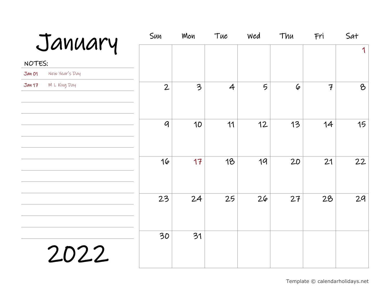| January                  | Sun            | Mon                      | Tue            | Wed | Thu       | Fri           | Sat         |
|--------------------------|----------------|--------------------------|----------------|-----|-----------|---------------|-------------|
|                          |                |                          |                |     |           |               | $\mathbf 1$ |
| NOTES:                   |                |                          |                |     |           |               |             |
| New Year's Day<br>Jan 01 |                |                          |                |     |           |               |             |
| M L King Day<br>Jan 17   | $\overline{2}$ | $\overline{\mathcal{Z}}$ | $\overline{4}$ | 5   | $\varphi$ | $\mathcal{F}$ | $\delta$    |
|                          | $\mathcal{Q}$  | 10                       | 11             | 12  | 13        | 14            | 15          |
|                          | 16             | 17                       | 18             | 19  | 20        | 21            | 22          |
|                          | 23             | 24                       | 25             | 26  | 27        | 28            | 29          |
| 2022                     | 30             | 31                       |                |     |           |               |             |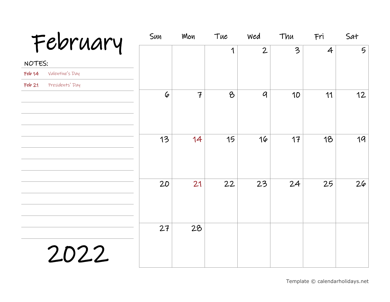| February                  | Sun       | Mon            | Tue      | Wed            | Thu | Fri            | Sat             |
|---------------------------|-----------|----------------|----------|----------------|-----|----------------|-----------------|
|                           |           |                | 1        | $\overline{2}$ | 3   | $\overline{4}$ | $5\overline{)}$ |
| NOTES:                    |           |                |          |                |     |                |                 |
| Valentine's Day<br>Feb 14 |           |                |          |                |     |                |                 |
| Presidents' Day<br>Feb 21 |           |                |          |                |     |                |                 |
|                           | $\varphi$ | $\overline{f}$ | $\delta$ | $\mathcal{Q}$  | 10  | 11             | 12              |
|                           | 13        | 14             | 15       | 16             | 17  | 18             | 19              |
|                           | 20        | 21             | 22       | 23             | 24  | 25             | 26              |
| 2022                      | 27        | 28             |          |                |     |                |                 |
|                           |           |                |          |                |     |                |                 |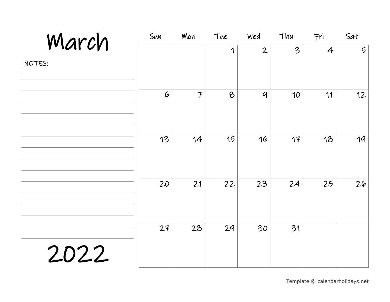| March  | Sun       | Mon            | Tue           | Wed            | Thu | Fri            | Sat             |
|--------|-----------|----------------|---------------|----------------|-----|----------------|-----------------|
|        |           |                | 1             | $\overline{2}$ | 3   | $\overline{4}$ | $5\overline{)}$ |
| NOTES: |           |                |               |                |     |                |                 |
|        |           |                |               |                |     |                |                 |
|        | $\varphi$ | $\overline{f}$ | $\mathcal{B}$ | $\mathcal{Q}$  | 10  | 11             | 12              |
|        |           |                |               |                |     |                |                 |
|        |           |                |               |                |     |                |                 |
|        | 13        | 14             | 15            | 16             | 17  | 18             | 19              |
|        |           |                |               |                |     |                |                 |
|        |           |                |               |                |     |                |                 |
|        | 20        | 21             | 22            | 23             | 24  | 25             | 26              |
|        |           |                |               |                |     |                |                 |
|        |           |                |               |                |     |                |                 |
|        | 27        | 28             | 29            | 30             | 31  |                |                 |
| 2022   |           |                |               |                |     |                |                 |
|        |           |                |               |                |     |                |                 |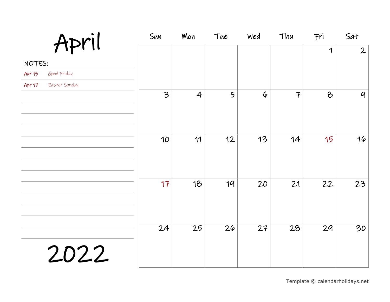| April                          | Sun                      | Mon            | Tue             | Wed       | Thu            | Fri | Sat            |
|--------------------------------|--------------------------|----------------|-----------------|-----------|----------------|-----|----------------|
|                                |                          |                |                 |           |                | 1   | $\overline{2}$ |
| NOTES:                         |                          |                |                 |           |                |     |                |
| Good Friday<br>Apr 15          |                          |                |                 |           |                |     |                |
| Easter Sunday<br><b>Apr 17</b> |                          |                |                 |           |                |     |                |
|                                | $\overline{\mathcal{Z}}$ | $\overline{4}$ | $5\overline{)}$ | $\varphi$ | $\overline{f}$ | 8   | $\mathcal{G}$  |
|                                | 10                       | 11             | 12              | 13        | 14             | 15  | 16             |
|                                | 17                       | 18             | 19              | 20        | 21             | 22  | 23             |
| 2022                           | 24                       | 25             | 26              | 27        | 28             | 29  | 30             |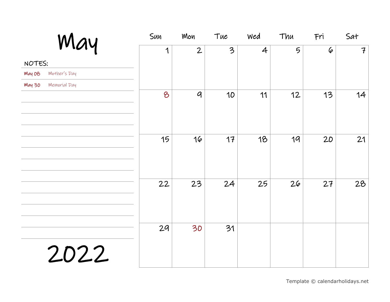| May                           | Sun | Mon              | Tue                      | Wed            | Thu | Fri       | Sat           |
|-------------------------------|-----|------------------|--------------------------|----------------|-----|-----------|---------------|
|                               | 1   | $\overline{2}$   | $\overline{\mathcal{E}}$ | $\overline{4}$ | 5   | $\varphi$ | $\mathcal{F}$ |
| NOTES:                        |     |                  |                          |                |     |           |               |
| Mother's Day<br>May 08        |     |                  |                          |                |     |           |               |
| <b>Memorial</b> Day<br>May 30 |     |                  |                          |                |     |           |               |
|                               | 8   | $\boldsymbol{q}$ | 10                       | 11             | 12  | 13        | 14            |
|                               | 15  | 16               | 17                       | 18             | 19  | 20        | 21            |
|                               | 22  | 23               | 24                       | 25             | 26  | 27        | 28            |
| 2022                          | 29  | 30               | 31                       |                |     |           |               |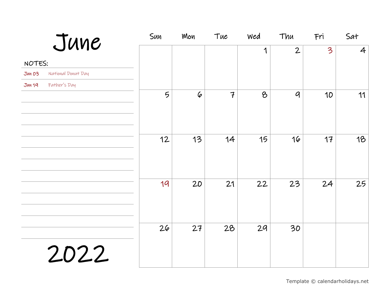| June                                | Sun             | Mon       | Tue            | Wed      | Thu              | Fri                     | Sat            |
|-------------------------------------|-----------------|-----------|----------------|----------|------------------|-------------------------|----------------|
|                                     |                 |           |                | 1        | $\overline{2}$   | $\overline{\mathbf{3}}$ | $\overline{4}$ |
| NOTES:                              |                 |           |                |          |                  |                         |                |
| National Donut Day<br><b>Jun 03</b> |                 |           |                |          |                  |                         |                |
| Father's Day<br>Jun 19              |                 |           |                |          |                  |                         |                |
|                                     | $5\overline{)}$ | $\varphi$ | $\overline{f}$ | $\delta$ | $\boldsymbol{q}$ | 10                      | 11             |
|                                     | 12              | 13        | 14             | 15       | 16               | 17                      | 18             |
|                                     | 19              | 20        | 21             | 22       | 23               | 24                      | 25             |
| 2022                                | 26              | 27        | 28             | 29       | 30               |                         |                |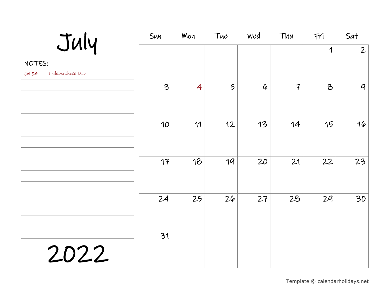| July                              | Sun                      | Mon | Tue | Wed       | Thu            | Fri      | Sat              |
|-----------------------------------|--------------------------|-----|-----|-----------|----------------|----------|------------------|
|                                   |                          |     |     |           |                | 1        | $\overline{2}$   |
| NOTES:                            |                          |     |     |           |                |          |                  |
| Independence Day<br><b>Jul 04</b> |                          |     |     |           |                |          |                  |
|                                   | $\overline{\mathcal{Z}}$ | 4   | 5   | $\varphi$ | $\overline{f}$ | $\delta$ | $\boldsymbol{q}$ |
|                                   | 10                       | 11  | 12  | 13        | 14             | 15       | 16               |
|                                   | 17                       | 18  | 19  | 20        | 21             | 22       | 23               |
|                                   | 24                       | 25  | 26  | 27        | 28             | 29       | 30               |
| 2022                              | 31                       |     |     |           |                |          |                  |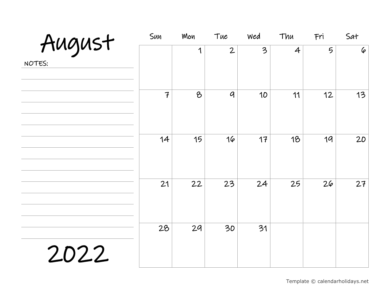|                  | Sun            | Mon | Tue            | Wed | Thu            | Fri | Sat             |
|------------------|----------------|-----|----------------|-----|----------------|-----|-----------------|
| August<br>NOTES: |                | 1   | $\overline{2}$ | 3   | $\overline{4}$ | 5   | $\pmb{\varphi}$ |
|                  | $\overline{f}$ | 8   | $\mathcal{G}$  | 10  | 11             | 12  | 13              |
|                  | 14             | 15  | 16             | 17  | 18             | 19  | 20              |
|                  | 21             | 22  | 23             | 24  | 25             | 26  | 27              |
| 2022             | 28             | 29  | 30             | 31  |                |     |                 |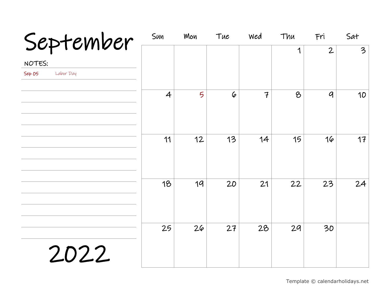| September           | Sun            | Mon | Tue       | wed            | Thu | Fri              | Sat                     |
|---------------------|----------------|-----|-----------|----------------|-----|------------------|-------------------------|
|                     |                |     |           |                | 1   | $\mathbf{2}$     | $\overline{\mathbf{3}}$ |
| NOTES:              |                |     |           |                |     |                  |                         |
| Sep 05<br>Labor Day |                |     |           |                |     |                  |                         |
|                     | $\overline{4}$ | 5   | $\varphi$ | $\overline{f}$ | 8   | $\boldsymbol{q}$ | 10                      |
|                     | 11             | 12  | 13        | 14             | 15  | 16               | 17                      |
|                     | 18             | 19  | 20        | 21             | 22  | 23               | 24                      |
| 2022                | 25             | 26  | 27        | 28             | 29  | 30               |                         |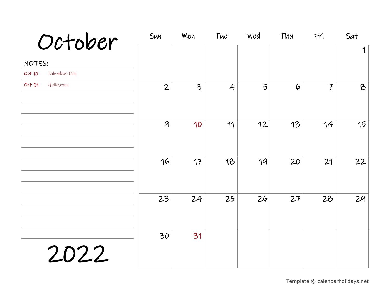| October                | Sun            | Mon                     | Tue            | Wed             | Thu       | Fri            | Sat      |
|------------------------|----------------|-------------------------|----------------|-----------------|-----------|----------------|----------|
|                        |                |                         |                |                 |           |                | 1        |
| NOTES:                 |                |                         |                |                 |           |                |          |
| Columbus Day<br>Oct 10 |                |                         |                |                 |           |                |          |
| Halloween<br>Oct 31    | $\overline{2}$ | $\overline{\mathbf{3}}$ | $\overline{4}$ | $5\overline{)}$ | $\varphi$ | $\overline{f}$ | $\delta$ |
|                        | $\mathcal{Q}$  | 10                      | 11             | 12              | 13        | 14             | 15       |
|                        | 16             | 17                      | 18             | 19              | 20        | 21             | 22       |
|                        | 23             | 24                      | 25             | 26              | 27        | 28             | 29       |
| 2022                   | 30             | 31                      |                |                 |           |                |          |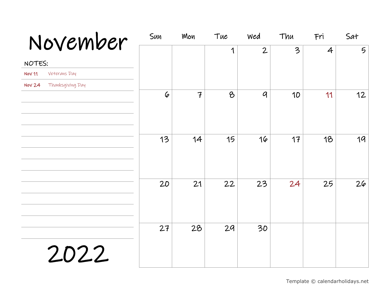| November                          | Sun       | Mon            | Tue      | Wed            | Thu | Fri            | Sat             |
|-----------------------------------|-----------|----------------|----------|----------------|-----|----------------|-----------------|
|                                   |           |                | 1        | $\overline{2}$ | 3   | $\overline{4}$ | $5\overline{)}$ |
| NOTES:                            |           |                |          |                |     |                |                 |
| Veterans Day<br>Nov 11            |           |                |          |                |     |                |                 |
| Thanksgiving Day<br><b>Nov 24</b> |           |                |          |                |     |                |                 |
|                                   | $\varphi$ | $\overline{f}$ | $\delta$ | $\mathcal{Q}$  | 10  | 11             | 12              |
|                                   | 13        | 14             | 15       | 16             | 17  | 18             | 19              |
|                                   | 20        | 21             | 22       | 23             | 24  | 25             | 26              |
| 2022                              | 27        | 28             | 29       | 30             |     |                |                 |